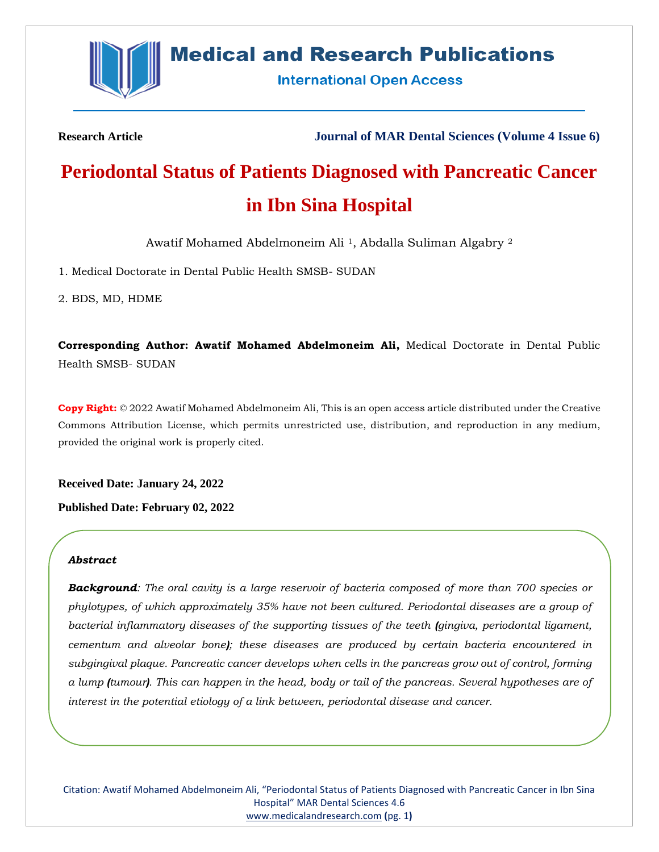

# **Medical and Research Publications**

**International Open Access** 

**Research Article Journal of MAR Dental Sciences (Volume 4 Issue 6)**

# **Periodontal Status of Patients Diagnosed with Pancreatic Cancer in Ibn Sina Hospital**

Awatif Mohamed Abdelmoneim Ali 1, Abdalla Suliman Algabry <sup>2</sup>

1. Medical Doctorate in Dental Public Health SMSB- SUDAN

2. BDS, MD, HDME

**Corresponding Author: Awatif Mohamed Abdelmoneim Ali,** Medical Doctorate in Dental Public Health SMSB- SUDAN

**Copy Right:** © 2022 Awatif Mohamed Abdelmoneim Ali, This is an open access article distributed under the Creative Commons Attribution License, which permits unrestricted use, distribution, and reproduction in any medium, provided the original work is properly cited.

**Received Date: January 24, 2022**

**Published Date: February 02, 2022**

### *Abstract*

*Background: The oral cavity is a large reservoir of bacteria composed of more than 700 species or phylotypes, of which approximately 35% have not been cultured. Periodontal diseases are a group of bacterial inflammatory diseases of the supporting tissues of the teeth (gingiva, periodontal ligament, cementum and alveolar bone); these diseases are produced by certain bacteria encountered in subgingival plaque. Pancreatic cancer develops when cells in the pancreas grow out of control, forming a lump (tumour). This can happen in the head, body or tail of the pancreas. Several hypotheses are of interest in the potential etiology of a link between, periodontal disease and cancer.*

Citation: Awatif Mohamed Abdelmoneim Ali, "Periodontal Status of Patients Diagnosed with Pancreatic Cancer in Ibn Sina Hospital" MAR Dental Sciences 4.6 [www.medicalandresearch.com](http://www.medicalandresearch.com/) **(**pg. 1**)**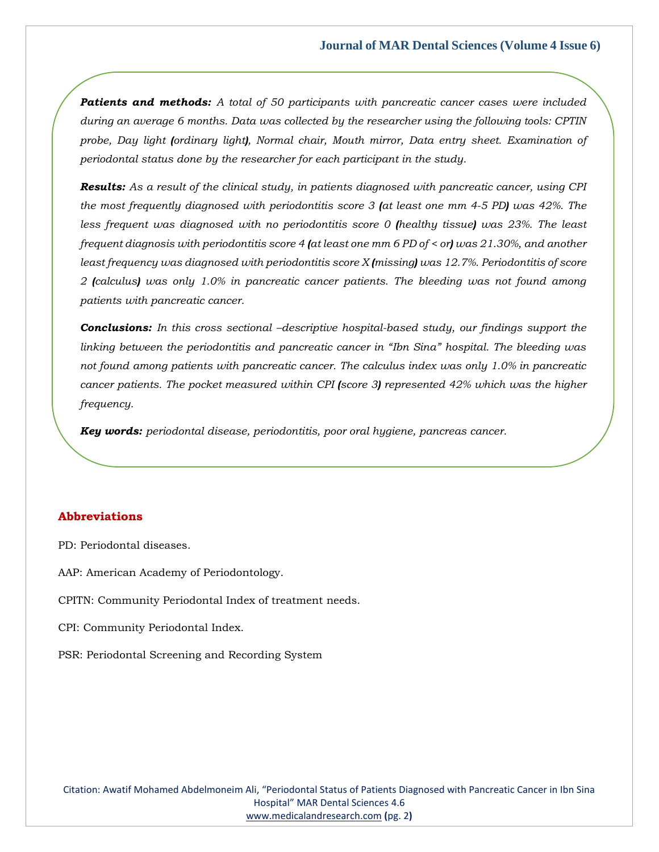*Patients and methods: A total of 50 participants with pancreatic cancer cases were included during an average 6 months. Data was collected by the researcher using the following tools: CPTIN probe, Day light (ordinary light), Normal chair, Mouth mirror, Data entry sheet. Examination of periodontal status done by the researcher for each participant in the study.*

*Results: As a result of the clinical study, in patients diagnosed with pancreatic cancer, using CPI the most frequently diagnosed with periodontitis score 3 (at least one mm 4-5 PD) was 42%. The less frequent was diagnosed with no periodontitis score 0 (healthy tissue) was 23%. The least frequent diagnosis with periodontitis score 4 (at least one mm 6 PD of < or) was 21.30%, and another least frequency was diagnosed with periodontitis score X (missing) was 12.7%. Periodontitis of score 2 (calculus) was only 1.0% in pancreatic cancer patients. The bleeding was not found among patients with pancreatic cancer.*

*Conclusions: In this cross sectional –descriptive hospital-based study, our findings support the linking between the periodontitis and pancreatic cancer in "Ibn Sina" hospital. The bleeding was not found among patients with pancreatic cancer. The calculus index was only 1.0% in pancreatic cancer patients. The pocket measured within CPI (score 3) represented 42% which was the higher frequency.*

*Key words: periodontal disease, periodontitis, poor oral hygiene, pancreas cancer.*

## **Abbreviations**

PD: Periodontal diseases.

AAP: American Academy of Periodontology.

CPITN: Community Periodontal Index of treatment needs.

CPI: Community Periodontal Index.

PSR: Periodontal Screening and Recording System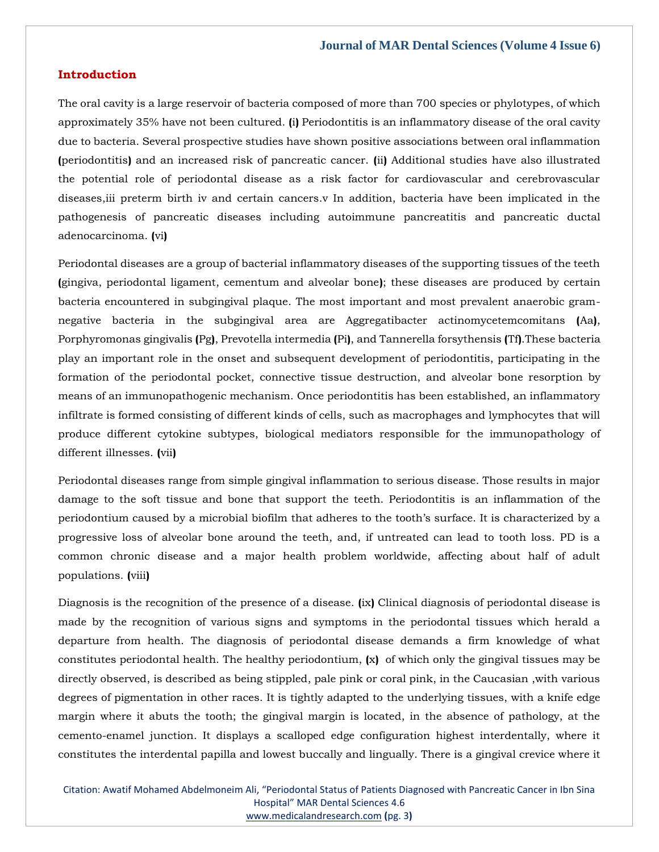### **Introduction**

The oral cavity is a large reservoir of bacteria composed of more than 700 species or phylotypes, of which approximately 35% have not been cultured. **(**i**)** Periodontitis is an inflammatory disease of the oral cavity due to bacteria. Several prospective studies have shown positive associations between oral inflammation **(**periodontitis**)** and an increased risk of pancreatic cancer. **(**ii**)** Additional studies have also illustrated the potential role of periodontal disease as a risk factor for cardiovascular and cerebrovascular diseases,iii preterm birth iv and certain cancers.v In addition, bacteria have been implicated in the pathogenesis of pancreatic diseases including autoimmune pancreatitis and pancreatic ductal adenocarcinoma. **(**vi**)**

Periodontal diseases are a group of bacterial inflammatory diseases of the supporting tissues of the teeth **(**gingiva, periodontal ligament, cementum and alveolar bone**)**; these diseases are produced by certain bacteria encountered in subgingival plaque. The most important and most prevalent anaerobic gramnegative bacteria in the subgingival area are Aggregatibacter actinomycetemcomitans **(**Aa**)**, Porphyromonas gingivalis **(**Pg**)**, Prevotella intermedia **(**Pi**)**, and Tannerella forsythensis **(**Tf**)**.These bacteria play an important role in the onset and subsequent development of periodontitis, participating in the formation of the periodontal pocket, connective tissue destruction, and alveolar bone resorption by means of an immunopathogenic mechanism. Once periodontitis has been established, an inflammatory infiltrate is formed consisting of different kinds of cells, such as macrophages and lymphocytes that will produce different cytokine subtypes, biological mediators responsible for the immunopathology of different illnesses. **(**vii**)**

Periodontal diseases range from simple gingival inflammation to serious disease. Those results in major damage to the soft tissue and bone that support the teeth. Periodontitis is an inflammation of the periodontium caused by a microbial biofilm that adheres to the tooth's surface. It is characterized by a progressive loss of alveolar bone around the teeth, and, if untreated can lead to tooth loss. PD is a common chronic disease and a major health problem worldwide, affecting about half of adult populations. **(**viii**)**

Diagnosis is the recognition of the presence of a disease. **(**ix**)** Clinical diagnosis of periodontal disease is made by the recognition of various signs and symptoms in the periodontal tissues which herald a departure from health. The diagnosis of periodontal disease demands a firm knowledge of what constitutes periodontal health. The healthy periodontium, **(**x**)** of which only the gingival tissues may be directly observed, is described as being stippled, pale pink or coral pink, in the Caucasian ,with various degrees of pigmentation in other races. It is tightly adapted to the underlying tissues, with a knife edge margin where it abuts the tooth; the gingival margin is located, in the absence of pathology, at the cemento-enamel junction. It displays a scalloped edge configuration highest interdentally, where it constitutes the interdental papilla and lowest buccally and lingually. There is a gingival crevice where it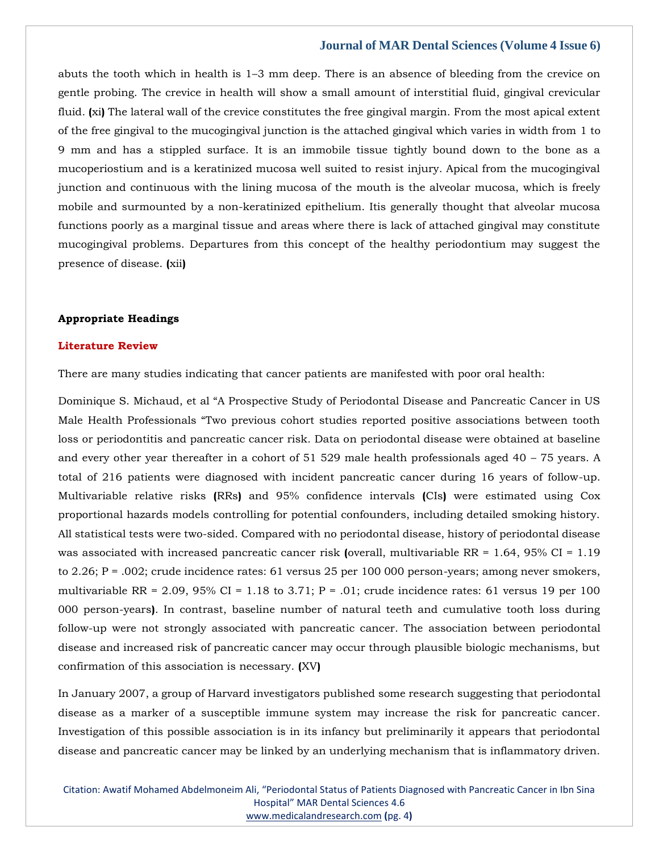abuts the tooth which in health is 1–3 mm deep. There is an absence of bleeding from the crevice on gentle probing. The crevice in health will show a small amount of interstitial fluid, gingival crevicular fluid. **(**xi**)** The lateral wall of the crevice constitutes the free gingival margin. From the most apical extent of the free gingival to the mucogingival junction is the attached gingival which varies in width from 1 to 9 mm and has a stippled surface. It is an immobile tissue tightly bound down to the bone as a mucoperiostium and is a keratinized mucosa well suited to resist injury. Apical from the mucogingival junction and continuous with the lining mucosa of the mouth is the alveolar mucosa, which is freely mobile and surmounted by a non-keratinized epithelium. Itis generally thought that alveolar mucosa functions poorly as a marginal tissue and areas where there is lack of attached gingival may constitute mucogingival problems. Departures from this concept of the healthy periodontium may suggest the presence of disease. **(**xii**)**

#### **Appropriate Headings**

### **Literature Review**

There are many studies indicating that cancer patients are manifested with poor oral health:

Dominique S. Michaud, et al "A Prospective Study of Periodontal Disease and Pancreatic Cancer in US Male Health Professionals "Two previous cohort studies reported positive associations between tooth loss or periodontitis and pancreatic cancer risk. Data on periodontal disease were obtained at baseline and every other year thereafter in a cohort of 51 529 male health professionals aged 40 – 75 years. A total of 216 patients were diagnosed with incident pancreatic cancer during 16 years of follow-up. Multivariable relative risks **(**RRs**)** and 95% confidence intervals **(**CIs**)** were estimated using Cox proportional hazards models controlling for potential confounders, including detailed smoking history. All statistical tests were two-sided. Compared with no periodontal disease, history of periodontal disease was associated with increased pancreatic cancer risk **(**overall, multivariable RR = 1.64, 95% CI = 1.19 to 2.26; P = .002; crude incidence rates: 61 versus 25 per 100 000 person-years; among never smokers, multivariable RR =  $2.09$ ,  $95\%$  CI =  $1.18$  to  $3.71$ ; P =  $.01$ ; crude incidence rates: 61 versus 19 per 100 000 person-years**)**. In contrast, baseline number of natural teeth and cumulative tooth loss during follow-up were not strongly associated with pancreatic cancer. The association between periodontal disease and increased risk of pancreatic cancer may occur through plausible biologic mechanisms, but confirmation of this association is necessary. **(**XV**)**

In January 2007, a group of Harvard investigators published some research suggesting that periodontal disease as a marker of a susceptible immune system may increase the risk for pancreatic cancer. Investigation of this possible association is in its infancy but preliminarily it appears that periodontal disease and pancreatic cancer may be linked by an underlying mechanism that is inflammatory driven.

Citation: Awatif Mohamed Abdelmoneim Ali, "Periodontal Status of Patients Diagnosed with Pancreatic Cancer in Ibn Sina Hospital" MAR Dental Sciences 4.6 [www.medicalandresearch.com](http://www.medicalandresearch.com/) **(**pg. 4**)**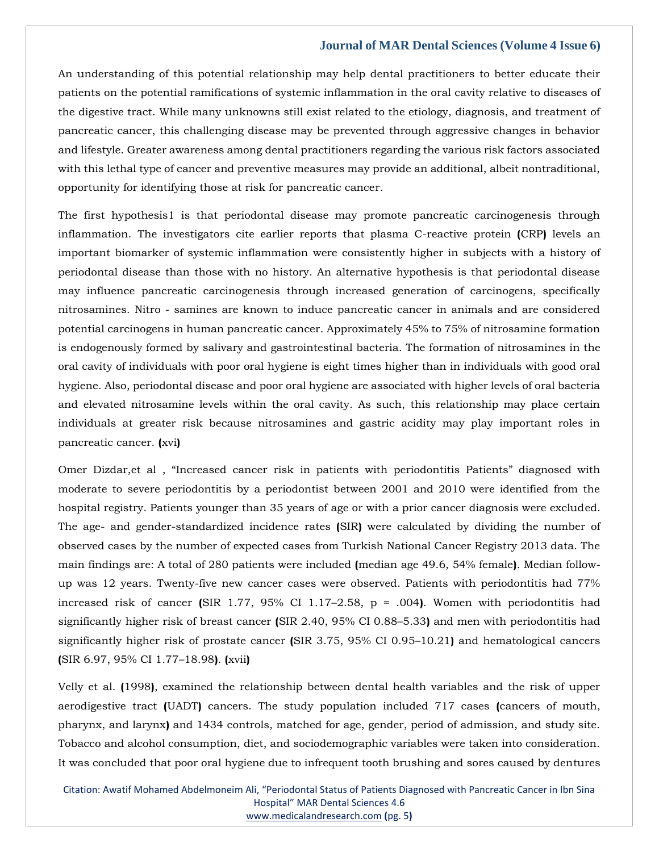An understanding of this potential relationship may help dental practitioners to better educate their patients on the potential ramifications of systemic inflammation in the oral cavity relative to diseases of the digestive tract. While many unknowns still exist related to the etiology, diagnosis, and treatment of pancreatic cancer, this challenging disease may be prevented through aggressive changes in behavior and lifestyle. Greater awareness among dental practitioners regarding the various risk factors associated with this lethal type of cancer and preventive measures may provide an additional, albeit nontraditional, opportunity for identifying those at risk for pancreatic cancer.

The first hypothesis1 is that periodontal disease may promote pancreatic carcinogenesis through inflammation. The investigators cite earlier reports that plasma C-reactive protein **(**CRP**)** levels an important biomarker of systemic inflammation were consistently higher in subjects with a history of periodontal disease than those with no history. An alternative hypothesis is that periodontal disease may influence pancreatic carcinogenesis through increased generation of carcinogens, specifically nitrosamines. Nitro - samines are known to induce pancreatic cancer in animals and are considered potential carcinogens in human pancreatic cancer. Approximately 45% to 75% of nitrosamine formation is endogenously formed by salivary and gastrointestinal bacteria. The formation of nitrosamines in the oral cavity of individuals with poor oral hygiene is eight times higher than in individuals with good oral hygiene. Also, periodontal disease and poor oral hygiene are associated with higher levels of oral bacteria and elevated nitrosamine levels within the oral cavity. As such, this relationship may place certain individuals at greater risk because nitrosamines and gastric acidity may play important roles in pancreatic cancer. **(**xvi**)**

Omer Dizdar,et al , "Increased cancer risk in patients with periodontitis Patients" diagnosed with moderate to severe periodontitis by a periodontist between 2001 and 2010 were identified from the hospital registry. Patients younger than 35 years of age or with a prior cancer diagnosis were excluded. The age- and gender-standardized incidence rates **(**SIR**)** were calculated by dividing the number of observed cases by the number of expected cases from Turkish National Cancer Registry 2013 data. The main findings are: A total of 280 patients were included **(**median age 49.6, 54% female**)**. Median followup was 12 years. Twenty-five new cancer cases were observed. Patients with periodontitis had 77% increased risk of cancer **(**SIR 1.77, 95% CI 1.17–2.58, p = .004**)**. Women with periodontitis had significantly higher risk of breast cancer **(**SIR 2.40, 95% CI 0.88–5.33**)** and men with periodontitis had significantly higher risk of prostate cancer **(**SIR 3.75, 95% CI 0.95–10.21**)** and hematological cancers **(**SIR 6.97, 95% CI 1.77–18.98**)**. **(**xvii**)**

Velly et al. **(**1998**)**, examined the relationship between dental health variables and the risk of upper aerodigestive tract **(**UADT**)** cancers. The study population included 717 cases **(**cancers of mouth, pharynx, and larynx**)** and 1434 controls, matched for age, gender, period of admission, and study site. Tobacco and alcohol consumption, diet, and sociodemographic variables were taken into consideration. It was concluded that poor oral hygiene due to infrequent tooth brushing and sores caused by dentures

Citation: Awatif Mohamed Abdelmoneim Ali, "Periodontal Status of Patients Diagnosed with Pancreatic Cancer in Ibn Sina Hospital" MAR Dental Sciences 4.6 [www.medicalandresearch.com](http://www.medicalandresearch.com/) **(**pg. 5**)**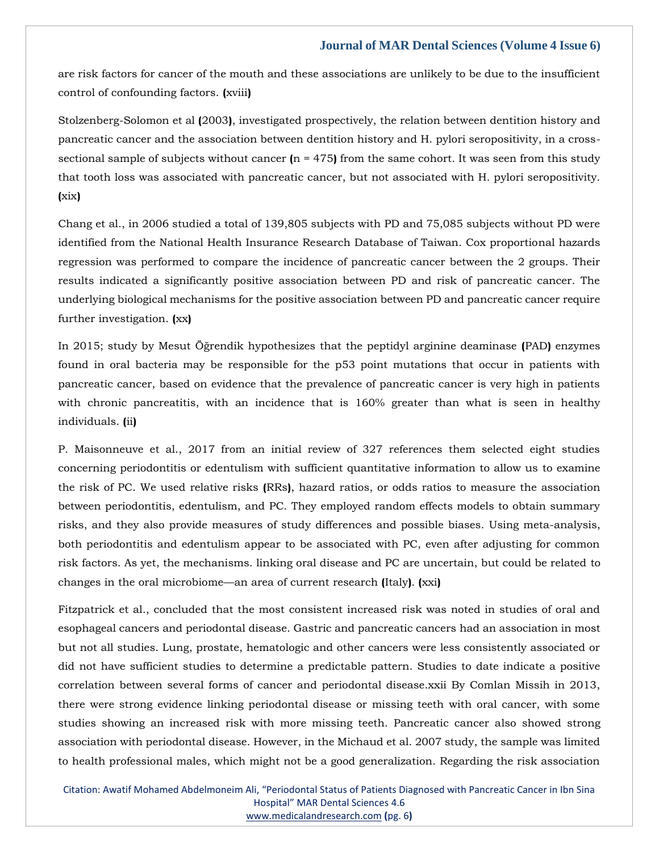are risk factors for cancer of the mouth and these associations are unlikely to be due to the insufficient control of confounding factors. **(**xviii**)**

Stolzenberg-Solomon et al **(**2003**)**, investigated prospectively, the relation between dentition history and pancreatic cancer and the association between dentition history and H. pylori seropositivity, in a crosssectional sample of subjects without cancer  $(n = 475)$  from the same cohort. It was seen from this study that tooth loss was associated with pancreatic cancer, but not associated with H. pylori seropositivity. **(**xix**)**

Chang et al., in 2006 studied a total of 139,805 subjects with PD and 75,085 subjects without PD were identified from the National Health Insurance Research Database of Taiwan. Cox proportional hazards regression was performed to compare the incidence of pancreatic cancer between the 2 groups. Their results indicated a significantly positive association between PD and risk of pancreatic cancer. The underlying biological mechanisms for the positive association between PD and pancreatic cancer require further investigation. **(**xx**)**

In 2015; study by Mesut Öğrendik hypothesizes that the peptidyl arginine deaminase **(**PAD**)** enzymes found in oral bacteria may be responsible for the p53 point mutations that occur in patients with pancreatic cancer, based on evidence that the prevalence of pancreatic cancer is very high in patients with chronic pancreatitis, with an incidence that is 160% greater than what is seen in healthy individuals. **(**ii**)**

P. Maisonneuve et al., 2017 from an initial review of 327 references them selected eight studies concerning periodontitis or edentulism with sufficient quantitative information to allow us to examine the risk of PC. We used relative risks **(**RRs**)**, hazard ratios, or odds ratios to measure the association between periodontitis, edentulism, and PC. They employed random effects models to obtain summary risks, and they also provide measures of study differences and possible biases. Using meta-analysis, both periodontitis and edentulism appear to be associated with PC, even after adjusting for common risk factors. As yet, the mechanisms. linking oral disease and PC are uncertain, but could be related to changes in the oral microbiome—an area of current research **(**Italy**)**. **(**xxi**)**

Fitzpatrick et al., concluded that the most consistent increased risk was noted in studies of oral and esophageal cancers and periodontal disease. Gastric and pancreatic cancers had an association in most but not all studies. Lung, prostate, hematologic and other cancers were less consistently associated or did not have sufficient studies to determine a predictable pattern. Studies to date indicate a positive correlation between several forms of cancer and periodontal disease.xxii By Comlan Missih in 2013, there were strong evidence linking periodontal disease or missing teeth with oral cancer, with some studies showing an increased risk with more missing teeth. Pancreatic cancer also showed strong association with periodontal disease. However, in the Michaud et al. 2007 study, the sample was limited to health professional males, which might not be a good generalization. Regarding the risk association

Citation: Awatif Mohamed Abdelmoneim Ali, "Periodontal Status of Patients Diagnosed with Pancreatic Cancer in Ibn Sina Hospital" MAR Dental Sciences 4.6 [www.medicalandresearch.com](http://www.medicalandresearch.com/) **(**pg. 6**)**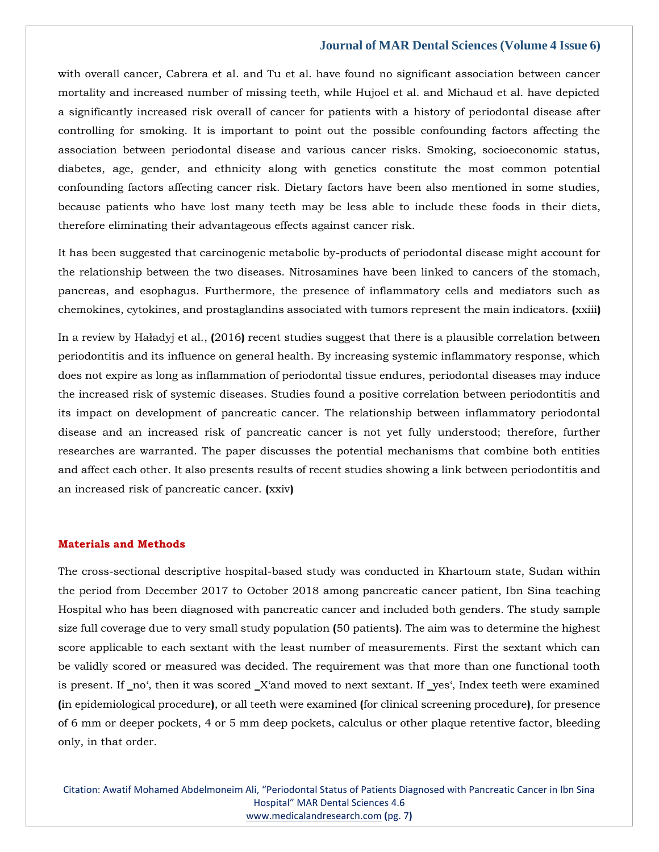with overall cancer, Cabrera et al. and Tu et al. have found no significant association between cancer mortality and increased number of missing teeth, while Hujoel et al. and Michaud et al. have depicted a significantly increased risk overall of cancer for patients with a history of periodontal disease after controlling for smoking. It is important to point out the possible confounding factors affecting the association between periodontal disease and various cancer risks. Smoking, socioeconomic status, diabetes, age, gender, and ethnicity along with genetics constitute the most common potential confounding factors affecting cancer risk. Dietary factors have been also mentioned in some studies, because patients who have lost many teeth may be less able to include these foods in their diets, therefore eliminating their advantageous effects against cancer risk.

It has been suggested that carcinogenic metabolic by-products of periodontal disease might account for the relationship between the two diseases. Nitrosamines have been linked to cancers of the stomach, pancreas, and esophagus. Furthermore, the presence of inflammatory cells and mediators such as chemokines, cytokines, and prostaglandins associated with tumors represent the main indicators. **(**xxiii**)**

In a review by Haładyj et al., **(**2016**)** recent studies suggest that there is a plausible correlation between periodontitis and its influence on general health. By increasing systemic inflammatory response, which does not expire as long as inflammation of periodontal tissue endures, periodontal diseases may induce the increased risk of systemic diseases. Studies found a positive correlation between periodontitis and its impact on development of pancreatic cancer. The relationship between inflammatory periodontal disease and an increased risk of pancreatic cancer is not yet fully understood; therefore, further researches are warranted. The paper discusses the potential mechanisms that combine both entities and affect each other. It also presents results of recent studies showing a link between periodontitis and an increased risk of pancreatic cancer. **(**xxiv**)**

### **Materials and Methods**

The cross-sectional descriptive hospital-based study was conducted in Khartoum state, Sudan within the period from December 2017 to October 2018 among pancreatic cancer patient, Ibn Sina teaching Hospital who has been diagnosed with pancreatic cancer and included both genders. The study sample size full coverage due to very small study population **(**50 patients**)**. The aim was to determine the highest score applicable to each sextant with the least number of measurements. First the sextant which can be validly scored or measured was decided. The requirement was that more than one functional tooth is present. If \_no', then it was scored \_X'and moved to next sextant. If \_yes', Index teeth were examined **(**in epidemiological procedure**)**, or all teeth were examined **(**for clinical screening procedure**)**, for presence of 6 mm or deeper pockets, 4 or 5 mm deep pockets, calculus or other plaque retentive factor, bleeding only, in that order.

Citation: Awatif Mohamed Abdelmoneim Ali, "Periodontal Status of Patients Diagnosed with Pancreatic Cancer in Ibn Sina Hospital" MAR Dental Sciences 4.6 [www.medicalandresearch.com](http://www.medicalandresearch.com/) **(**pg. 7**)**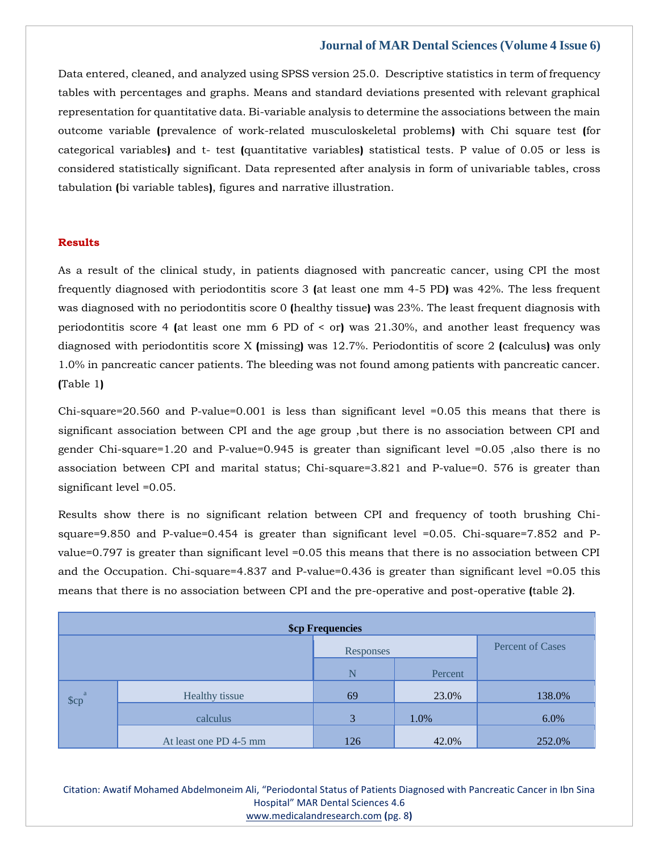Data entered, cleaned, and analyzed using SPSS version 25.0. Descriptive statistics in term of frequency tables with percentages and graphs. Means and standard deviations presented with relevant graphical representation for quantitative data. Bi-variable analysis to determine the associations between the main outcome variable **(**prevalence of work-related musculoskeletal problems**)** with Chi square test **(**for categorical variables**)** and t- test **(**quantitative variables**)** statistical tests. P value of 0.05 or less is considered statistically significant. Data represented after analysis in form of univariable tables, cross tabulation **(**bi variable tables**)**, figures and narrative illustration.

### **Results**

As a result of the clinical study, in patients diagnosed with pancreatic cancer, using CPI the most frequently diagnosed with periodontitis score 3 **(**at least one mm 4-5 PD**)** was 42%. The less frequent was diagnosed with no periodontitis score 0 **(**healthy tissue**)** was 23%. The least frequent diagnosis with periodontitis score 4 **(**at least one mm 6 PD of < or**)** was 21.30%, and another least frequency was diagnosed with periodontitis score X **(**missing**)** was 12.7%. Periodontitis of score 2 **(**calculus**)** was only 1.0% in pancreatic cancer patients. The bleeding was not found among patients with pancreatic cancer. **(**Table 1**)**

Chi-square=20.560 and P-value=0.001 is less than significant level =0.05 this means that there is significant association between CPI and the age group ,but there is no association between CPI and gender Chi-square=1.20 and P-value=0.945 is greater than significant level =0.05 ,also there is no association between CPI and marital status; Chi-square=3.821 and P-value=0. 576 is greater than significant level =0.05.

Results show there is no significant relation between CPI and frequency of tooth brushing Chisquare=9.850 and P-value=0.454 is greater than significant level =0.05. Chi-square=7.852 and Pvalue=0.797 is greater than significant level =0.05 this means that there is no association between CPI and the Occupation. Chi-square=4.837 and P-value=0.436 is greater than significant level =0.05 this means that there is no association between CPI and the pre-operative and post-operative **(**table 2**)**.

| <b>\$cp Frequencies</b> |                        |           |         |                         |  |  |  |
|-------------------------|------------------------|-----------|---------|-------------------------|--|--|--|
|                         |                        | Responses |         | <b>Percent of Cases</b> |  |  |  |
|                         |                        | N         | Percent |                         |  |  |  |
| $\text{Scp}^a$          | Healthy tissue         | 69        | 23.0%   | 138.0%                  |  |  |  |
|                         | calculus               | 3         | 1.0%    | 6.0%                    |  |  |  |
|                         | At least one PD 4-5 mm | 126       | 42.0%   | 252.0%                  |  |  |  |

Citation: Awatif Mohamed Abdelmoneim Ali, "Periodontal Status of Patients Diagnosed with Pancreatic Cancer in Ibn Sina Hospital" MAR Dental Sciences 4.6 [www.medicalandresearch.com](http://www.medicalandresearch.com/) **(**pg. 8**)**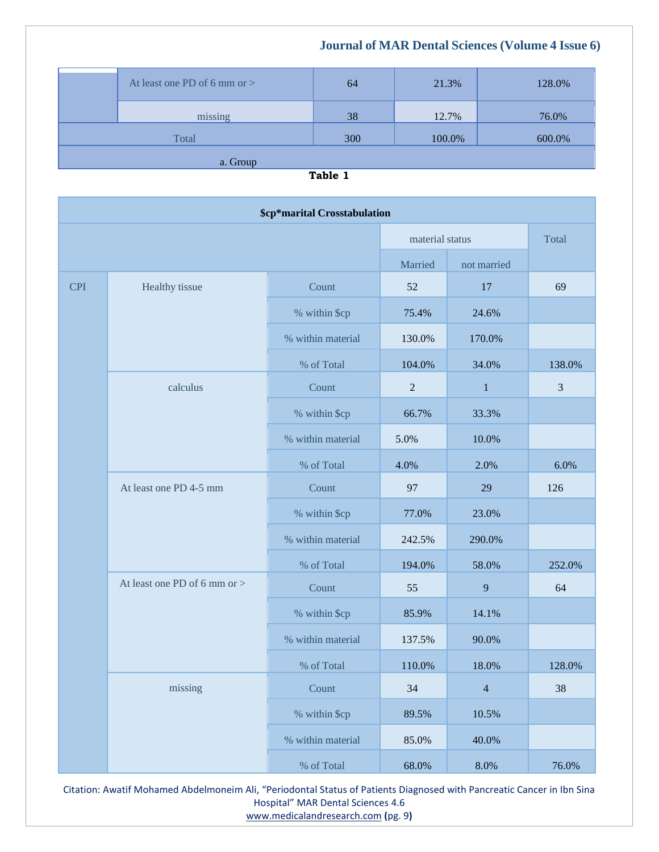| At least one PD of 6 mm or $>$ | 64  | 21.3%  | 128.0% |
|--------------------------------|-----|--------|--------|
| missing                        | 38  | 12.7%  | 76.0%  |
| Total                          | 300 | 100.0% | 600.0% |
| a. Group                       |     |        |        |

| a |  |
|---|--|
|   |  |

| \$cp*marital Crosstabulation |                                |                   |                 |                |        |  |  |
|------------------------------|--------------------------------|-------------------|-----------------|----------------|--------|--|--|
|                              |                                |                   | material status |                | Total  |  |  |
|                              |                                | Married           | not married     |                |        |  |  |
| <b>CPI</b>                   | Healthy tissue                 | Count             | 52              | $17\,$         | 69     |  |  |
|                              |                                | % within \$cp     | 75.4%           | 24.6%          |        |  |  |
|                              |                                | % within material | 130.0%          | 170.0%         |        |  |  |
|                              |                                | % of Total        | 104.0%          | 34.0%          | 138.0% |  |  |
|                              | calculus                       | Count             | $\mathbf{2}$    | $\mathbf{1}$   | 3      |  |  |
|                              |                                | % within \$cp     | 66.7%           | 33.3%          |        |  |  |
|                              |                                | % within material | 5.0%            | 10.0%          |        |  |  |
|                              |                                | % of Total        | 4.0%            | 2.0%           | 6.0%   |  |  |
|                              | At least one PD 4-5 mm         | Count             | 97              | 29             | 126    |  |  |
|                              |                                | % within \$cp     | 77.0%           | 23.0%          |        |  |  |
|                              |                                | % within material | 242.5%          | 290.0%         |        |  |  |
|                              |                                | % of Total        | 194.0%          | 58.0%          | 252.0% |  |  |
|                              | At least one PD of 6 mm or $>$ | Count             | 55              | 9              | 64     |  |  |
|                              |                                | % within \$cp     | 85.9%           | 14.1%          |        |  |  |
|                              |                                | % within material | 137.5%          | 90.0%          |        |  |  |
|                              |                                | % of Total        | 110.0%          | 18.0%          | 128.0% |  |  |
|                              | missing                        | Count             | 34              | $\overline{4}$ | 38     |  |  |
|                              |                                | % within \$cp     | 89.5%           | 10.5%          |        |  |  |
|                              |                                | % within material | 85.0%           | 40.0%          |        |  |  |
|                              |                                | % of Total        | 68.0%           | 8.0%           | 76.0%  |  |  |

Citation: Awatif Mohamed Abdelmoneim Ali, "Periodontal Status of Patients Diagnosed with Pancreatic Cancer in Ibn Sina Hospital" MAR Dental Sciences 4.6 [www.medicalandresearch.com](http://www.medicalandresearch.com/) **(**pg. 9**)**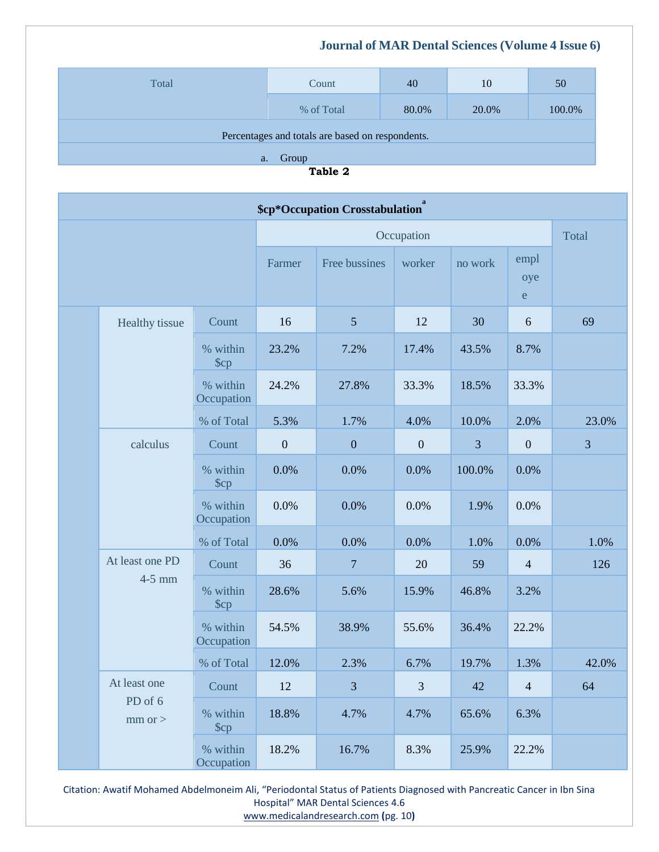| Total                                            | Count      | 40    | 10    | 50     |  |  |
|--------------------------------------------------|------------|-------|-------|--------|--|--|
|                                                  | % of Total | 80.0% | 20.0% | 100.0% |  |  |
| Percentages and totals are based on respondents. |            |       |       |        |  |  |
| Group<br>a.                                      |            |       |       |        |  |  |

**Table 2**

| \$cp*Occupation Crosstabulation <sup>ª</sup> |                                        |                              |                  |                  |                |         |                            |       |
|----------------------------------------------|----------------------------------------|------------------------------|------------------|------------------|----------------|---------|----------------------------|-------|
|                                              |                                        |                              | Occupation       |                  |                |         | Total                      |       |
|                                              |                                        |                              | Farmer           | Free bussines    | worker         | no work | empl<br>oye<br>$\mathbf e$ |       |
|                                              | Healthy tissue                         | Count                        | 16               | 5                | 12             | 30      | 6                          | 69    |
|                                              |                                        | % within<br>$\mathcal{S}$ cp | 23.2%            | 7.2%             | 17.4%          | 43.5%   | 8.7%                       |       |
|                                              |                                        | % within<br>Occupation       | 24.2%            | 27.8%            | 33.3%          | 18.5%   | 33.3%                      |       |
|                                              |                                        | % of Total                   | 5.3%             | 1.7%             | 4.0%           | 10.0%   | 2.0%                       | 23.0% |
|                                              | calculus                               | Count                        | $\boldsymbol{0}$ | $\boldsymbol{0}$ | $\theta$       | 3       | $\overline{0}$             | 3     |
|                                              |                                        | % within<br>$\mathcal{S}$ cp | 0.0%             | 0.0%             | 0.0%           | 100.0%  | 0.0%                       |       |
|                                              |                                        | % within<br>Occupation       | 0.0%             | 0.0%             | 0.0%           | 1.9%    | 0.0%                       |       |
|                                              |                                        | % of Total                   | 0.0%             | 0.0%             | 0.0%           | 1.0%    | 0.0%                       | 1.0%  |
|                                              | At least one PD<br>$4-5$ mm            | Count                        | 36               | $\overline{7}$   | 20             | 59      | $\overline{4}$             | 126   |
|                                              |                                        | % within<br>$\mathcal{S}$ cp | 28.6%            | 5.6%             | 15.9%          | 46.8%   | 3.2%                       |       |
|                                              |                                        | % within<br>Occupation       | 54.5%            | 38.9%            | 55.6%          | 36.4%   | 22.2%                      |       |
|                                              |                                        | % of Total                   | 12.0%            | 2.3%             | 6.7%           | 19.7%   | 1.3%                       | 42.0% |
|                                              | At least one<br>PD of 6<br>$mm$ or $>$ | Count                        | 12               | $\overline{3}$   | $\mathfrak{Z}$ | 42      | $\overline{4}$             | 64    |
|                                              |                                        | % within<br>$\mathcal{S}$ cp | 18.8%            | 4.7%             | 4.7%           | 65.6%   | 6.3%                       |       |
|                                              |                                        | % within<br>Occupation       | 18.2%            | 16.7%            | 8.3%           | 25.9%   | 22.2%                      |       |

Citation: Awatif Mohamed Abdelmoneim Ali, "Periodontal Status of Patients Diagnosed with Pancreatic Cancer in Ibn Sina Hospital" MAR Dental Sciences 4.6 [www.medicalandresearch.com](http://www.medicalandresearch.com/) **(**pg. 10**)**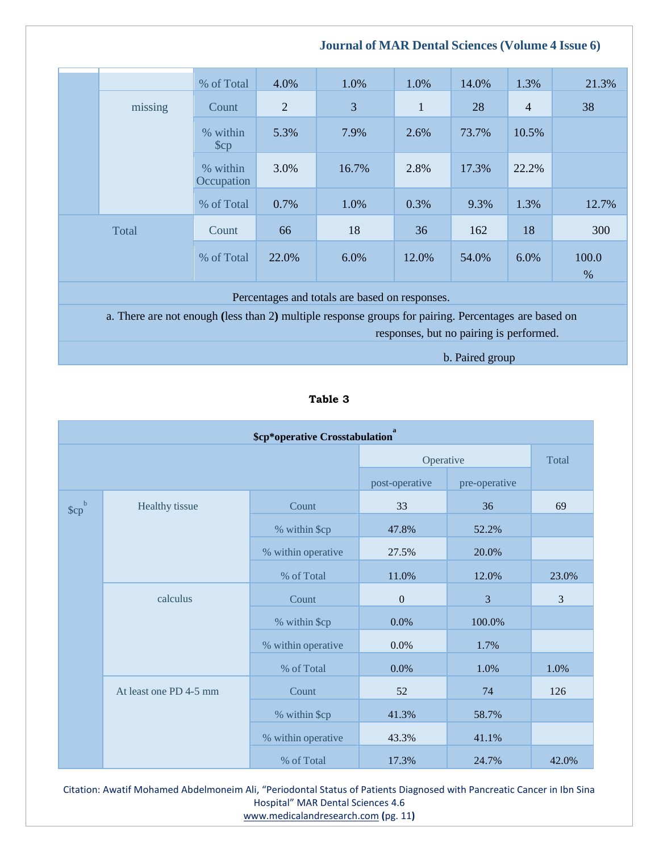# % of Total 4.0% 1.0% 1.0% 14.0% 1.3% 21.3% missing Count 2 3 3 1 28 4 38 % within \$cp 5.3% 7.9% 2.6% 73.7% 10.5% % within **Occupation** 3.0% 16.7% 2.8% 17.3% 22.2% % of Total 0.7% 1.0% 0.3% 9.3% 1.3% 12.7% Total Count 66 18 36 162 18 300 % of Total 22.0% 6.0% 12.0% 54.0% 6.0% 100.0 %

Percentages and totals are based on responses.

a. There are not enough **(**less than 2**)** multiple response groups for pairing. Percentages are based on

responses, but no pairing is performed.

 **Journal of MAR Dental Sciences (Volume 4 Issue 6)**

b. Paired group

## **Table 3**

| \$cp*operative Crosstabulation |                   |                    |                |               |       |  |  |
|--------------------------------|-------------------|--------------------|----------------|---------------|-------|--|--|
|                                |                   | Operative          | Total          |               |       |  |  |
|                                |                   |                    | post-operative | pre-operative |       |  |  |
| \$cp <sup>b</sup>              | Healthy tissue    | Count              | 33             | 36            | 69    |  |  |
|                                |                   | % within \$cp      | 47.8%          | 52.2%         |       |  |  |
|                                |                   | % within operative | 27.5%          | 20.0%         |       |  |  |
|                                | % of Total        |                    | 11.0%          | 12.0%         | 23.0% |  |  |
|                                | calculus<br>Count |                    | $\overline{0}$ | 3             | 3     |  |  |
|                                |                   | % within \$cp      | 0.0%           | 100.0%        |       |  |  |
|                                |                   | % within operative | 0.0%           | 1.7%          |       |  |  |
| At least one PD 4-5 mm         |                   | % of Total         | 0.0%           | 1.0%          | 1.0%  |  |  |
|                                |                   | Count              | 52             | 74            | 126   |  |  |
|                                |                   | % within \$cp      | 41.3%          | 58.7%         |       |  |  |
|                                |                   | % within operative | 43.3%          | 41.1%         |       |  |  |
|                                |                   | % of Total         | 17.3%          | 24.7%         | 42.0% |  |  |

Citation: Awatif Mohamed Abdelmoneim Ali, "Periodontal Status of Patients Diagnosed with Pancreatic Cancer in Ibn Sina Hospital" MAR Dental Sciences 4.6 [www.medicalandresearch.com](http://www.medicalandresearch.com/) **(**pg. 11**)**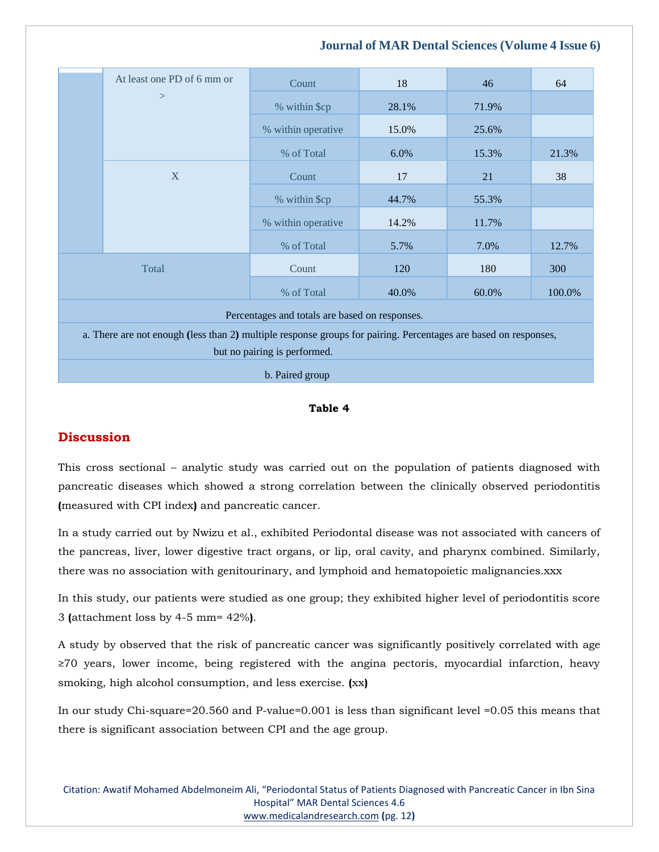# At least one PD of 6 mm or  $\geq$ Count 18 18 46 64 % within \$cp 28.1% 71.9% % within operative 15.0% 25.6% % of Total 6.0% 15.3% 21.3% X Count 17 21 38 % within \$cp  $44.7\%$  55.3% % within operative 14.2% 11.7% % of Total 5.7% 7.0% 12.7% Total Count 120 180 300 % of Total 40.0% 60.0% 100.0% Percentages and totals are based on responses. a. There are not enough **(**less than 2**)** multiple response groups for pairing. Percentages are based on responses, but no pairing is performed.

## **Journal of MAR Dental Sciences (Volume 4 Issue 6)**

b. Paired group

## **Table 4**

# **Discussion**

This cross sectional – analytic study was carried out on the population of patients diagnosed with pancreatic diseases which showed a strong correlation between the clinically observed periodontitis **(**measured with CPI index**)** and pancreatic cancer.

In a study carried out by Nwizu et al., exhibited Periodontal disease was not associated with cancers of the pancreas, liver, lower digestive tract organs, or lip, oral cavity, and pharynx combined. Similarly, there was no association with genitourinary, and lymphoid and hematopoietic malignancies.xxx

In this study, our patients were studied as one group; they exhibited higher level of periodontitis score 3 **(**attachment loss by 4-5 mm= 42%**)**.

A study by observed that the risk of pancreatic cancer was significantly positively correlated with age ≥70 years, lower income, being registered with the angina pectoris, myocardial infarction, heavy smoking, high alcohol consumption, and less exercise. **(**xx**)**

In our study Chi-square=20.560 and P-value=0.001 is less than significant level =0.05 this means that there is significant association between CPI and the age group.

Citation: Awatif Mohamed Abdelmoneim Ali, "Periodontal Status of Patients Diagnosed with Pancreatic Cancer in Ibn Sina Hospital" MAR Dental Sciences 4.6 [www.medicalandresearch.com](http://www.medicalandresearch.com/) **(**pg. 12**)**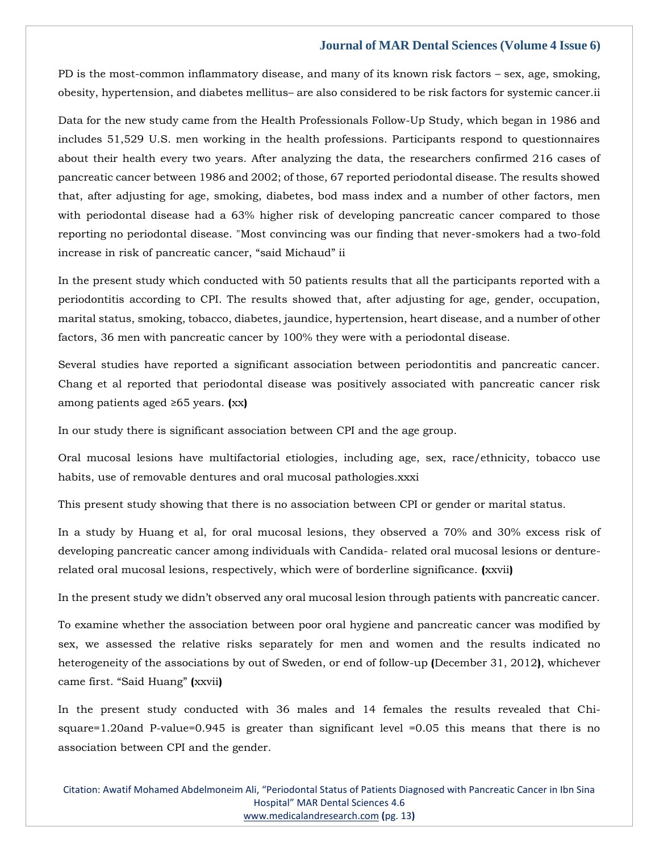PD is the most-common inflammatory disease, and many of its known risk factors – sex, age, smoking, obesity, hypertension, and diabetes mellitus– are also considered to be risk factors for systemic cancer.ii

Data for the new study came from the Health Professionals Follow-Up Study, which began in 1986 and includes 51,529 U.S. men working in the health professions. Participants respond to questionnaires about their health every two years. After analyzing the data, the researchers confirmed 216 cases of pancreatic cancer between 1986 and 2002; of those, 67 reported periodontal disease. The results showed that, after adjusting for age, smoking, diabetes, bod mass index and a number of other factors, men with periodontal disease had a 63% higher risk of developing pancreatic cancer compared to those reporting no periodontal disease. "Most convincing was our finding that never-smokers had a two-fold increase in risk of pancreatic cancer, "said Michaud" ii

In the present study which conducted with 50 patients results that all the participants reported with a periodontitis according to CPI. The results showed that, after adjusting for age, gender, occupation, marital status, smoking, tobacco, diabetes, jaundice, hypertension, heart disease, and a number of other factors, 36 men with pancreatic cancer by 100% they were with a periodontal disease.

Several studies have reported a significant association between periodontitis and pancreatic cancer. Chang et al reported that periodontal disease was positively associated with pancreatic cancer risk among patients aged ≥65 years. **(**xx**)**

In our study there is significant association between CPI and the age group.

Oral mucosal lesions have multifactorial etiologies, including age, sex, race/ethnicity, tobacco use habits, use of removable dentures and oral mucosal pathologies.xxxi

This present study showing that there is no association between CPI or gender or marital status.

In a study by Huang et al, for oral mucosal lesions, they observed a 70% and 30% excess risk of developing pancreatic cancer among individuals with Candida- related oral mucosal lesions or denturerelated oral mucosal lesions, respectively, which were of borderline significance. **(**xxvii**)**

In the present study we didn't observed any oral mucosal lesion through patients with pancreatic cancer.

To examine whether the association between poor oral hygiene and pancreatic cancer was modified by sex, we assessed the relative risks separately for men and women and the results indicated no heterogeneity of the associations by out of Sweden, or end of follow-up **(**December 31, 2012**)**, whichever came first. "Said Huang" **(**xxvii**)**

In the present study conducted with 36 males and 14 females the results revealed that Chisquare=1.20and P-value=0.945 is greater than significant level =0.05 this means that there is no association between CPI and the gender.

Citation: Awatif Mohamed Abdelmoneim Ali, "Periodontal Status of Patients Diagnosed with Pancreatic Cancer in Ibn Sina Hospital" MAR Dental Sciences 4.6 [www.medicalandresearch.com](http://www.medicalandresearch.com/) **(**pg. 13**)**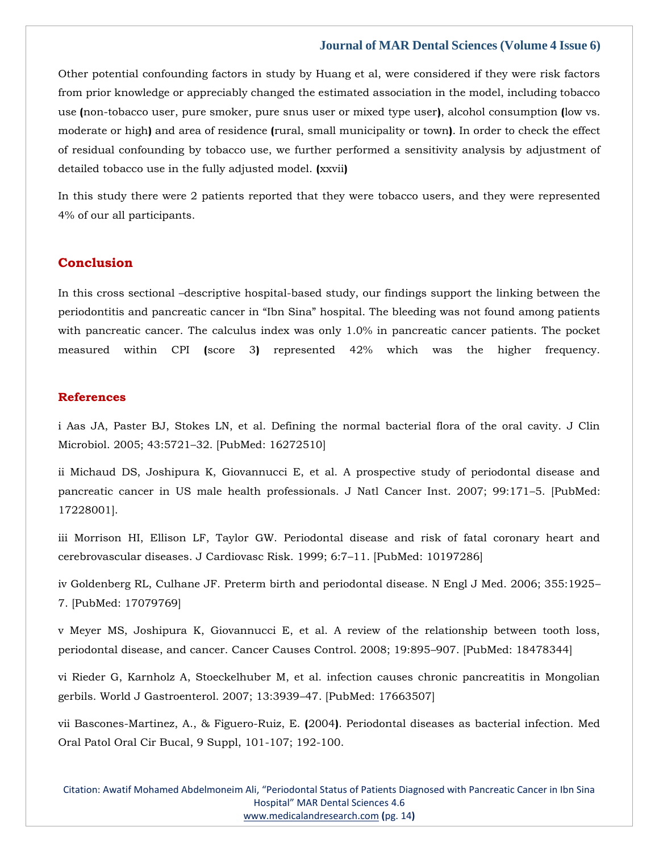Other potential confounding factors in study by Huang et al, were considered if they were risk factors from prior knowledge or appreciably changed the estimated association in the model, including tobacco use **(**non-tobacco user, pure smoker, pure snus user or mixed type user**)**, alcohol consumption **(**low vs. moderate or high**)** and area of residence **(**rural, small municipality or town**)**. In order to check the effect of residual confounding by tobacco use, we further performed a sensitivity analysis by adjustment of detailed tobacco use in the fully adjusted model. **(**xxvii**)**

In this study there were 2 patients reported that they were tobacco users, and they were represented 4% of our all participants.

# **Conclusion**

In this cross sectional –descriptive hospital-based study, our findings support the linking between the periodontitis and pancreatic cancer in "Ibn Sina" hospital. The bleeding was not found among patients with pancreatic cancer. The calculus index was only 1.0% in pancreatic cancer patients. The pocket measured within CPI **(**score 3**)** represented 42% which was the higher frequency.

### **References**

i Aas JA, Paster BJ, Stokes LN, et al. Defining the normal bacterial flora of the oral cavity. J Clin Microbiol. 2005; 43:5721–32. [PubMed: 16272510]

ii Michaud DS, Joshipura K, Giovannucci E, et al. A prospective study of periodontal disease and pancreatic cancer in US male health professionals. J Natl Cancer Inst. 2007; 99:171–5. [PubMed: 17228001].

iii Morrison HI, Ellison LF, Taylor GW. Periodontal disease and risk of fatal coronary heart and cerebrovascular diseases. J Cardiovasc Risk. 1999; 6:7–11. [PubMed: 10197286]

iv Goldenberg RL, Culhane JF. Preterm birth and periodontal disease. N Engl J Med. 2006; 355:1925– 7. [PubMed: 17079769]

v Meyer MS, Joshipura K, Giovannucci E, et al. A review of the relationship between tooth loss, periodontal disease, and cancer. Cancer Causes Control. 2008; 19:895–907. [PubMed: 18478344]

vi Rieder G, Karnholz A, Stoeckelhuber M, et al. infection causes chronic pancreatitis in Mongolian gerbils. World J Gastroenterol. 2007; 13:3939–47. [PubMed: 17663507]

vii Bascones-Martinez, A., & Figuero-Ruiz, E. **(**2004**)**. Periodontal diseases as bacterial infection. Med Oral Patol Oral Cir Bucal, 9 Suppl, 101-107; 192-100.

Citation: Awatif Mohamed Abdelmoneim Ali, "Periodontal Status of Patients Diagnosed with Pancreatic Cancer in Ibn Sina Hospital" MAR Dental Sciences 4.6 [www.medicalandresearch.com](http://www.medicalandresearch.com/) **(**pg. 14**)**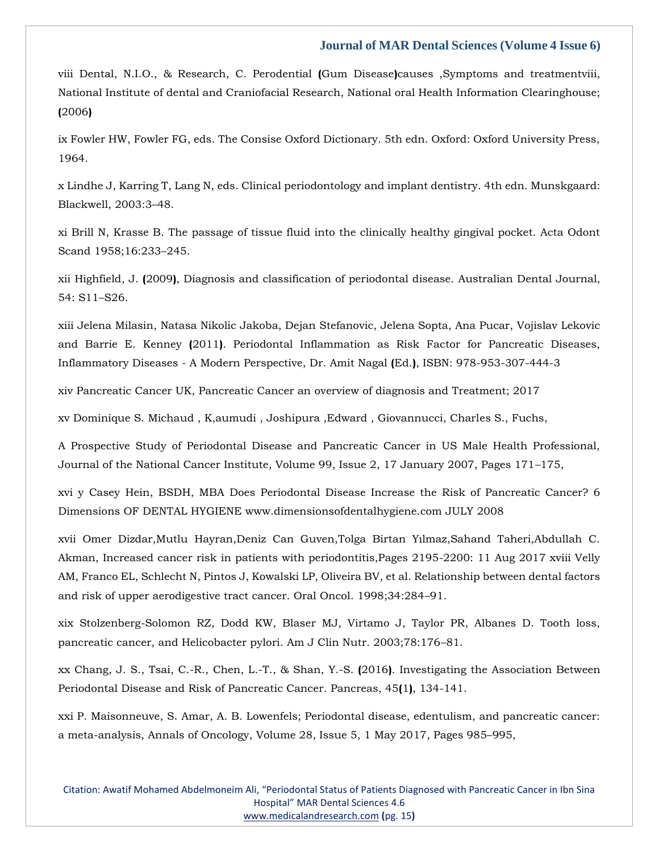viii Dental, N.I.O., & Research, C. Perodential **(**Gum Disease**)**causes ,Symptoms and treatmentviii, National Institute of dental and Craniofacial Research, National oral Health Information Clearinghouse; **(**2006**)**

ix Fowler HW, Fowler FG, eds. The Consise Oxford Dictionary. 5th edn. Oxford: Oxford University Press, 1964.

x Lindhe J, Karring T, Lang N, eds. Clinical periodontology and implant dentistry. 4th edn. Munskgaard: Blackwell, 2003:3–48.

xi Brill N, Krasse B. The passage of tissue fluid into the clinically healthy gingival pocket. Acta Odont Scand 1958;16:233–245.

xii Highfield, J. **(**2009**)**, Diagnosis and classification of periodontal disease. Australian Dental Journal, 54: S11–S26.

xiii Jelena Milasin, Natasa Nikolic Jakoba, Dejan Stefanovic, Jelena Sopta, Ana Pucar, Vojislav Lekovic and Barrie E. Kenney **(**2011**)**. Periodontal Inflammation as Risk Factor for Pancreatic Diseases, Inflammatory Diseases - A Modern Perspective, Dr. Amit Nagal **(**Ed.**)**, ISBN: 978-953-307-444-3

xiv Pancreatic Cancer UK, Pancreatic Cancer an overview of diagnosis and Treatment; 2017

xv Dominique S. Michaud , K,aumudi , Joshipura ,Edward , Giovannucci, Charles S., Fuchs,

A Prospective Study of Periodontal Disease and Pancreatic Cancer in US Male Health Professional, Journal of the National Cancer Institute, Volume 99, Issue 2, 17 January 2007, Pages 171–175,

xvi y Casey Hein, BSDH, MBA Does Periodontal Disease Increase the Risk of Pancreatic Cancer? 6 Dimensions OF DENTAL HYGIENE www.dimensionsofdentalhygiene.com JULY 2008

xvii Omer Dizdar,Mutlu Hayran,Deniz Can Guven,Tolga Birtan Yılmaz,Sahand Taheri,Abdullah C. Akman, Increased cancer risk in patients with periodontitis,Pages 2195-2200: 11 Aug 2017 xviii Velly AM, Franco EL, Schlecht N, Pintos J, Kowalski LP, Oliveira BV, et al. Relationship between dental factors and risk of upper aerodigestive tract cancer. Oral Oncol. 1998;34:284–91.

xix Stolzenberg-Solomon RZ, Dodd KW, Blaser MJ, Virtamo J, Taylor PR, Albanes D. Tooth loss, pancreatic cancer, and Helicobacter pylori. Am J Clin Nutr. 2003;78:176–81.

xx Chang, J. S., Tsai, C.-R., Chen, L.-T., & Shan, Y.-S. **(**2016**)**. Investigating the Association Between Periodontal Disease and Risk of Pancreatic Cancer. Pancreas, 45**(**1**)**, 134-141.

xxi P. Maisonneuve, S. Amar, A. B. Lowenfels; Periodontal disease, edentulism, and pancreatic cancer: a meta-analysis, Annals of Oncology, Volume 28, Issue 5, 1 May 2017, Pages 985–995,

Citation: Awatif Mohamed Abdelmoneim Ali, "Periodontal Status of Patients Diagnosed with Pancreatic Cancer in Ibn Sina Hospital" MAR Dental Sciences 4.6 [www.medicalandresearch.com](http://www.medicalandresearch.com/) **(**pg. 15**)**